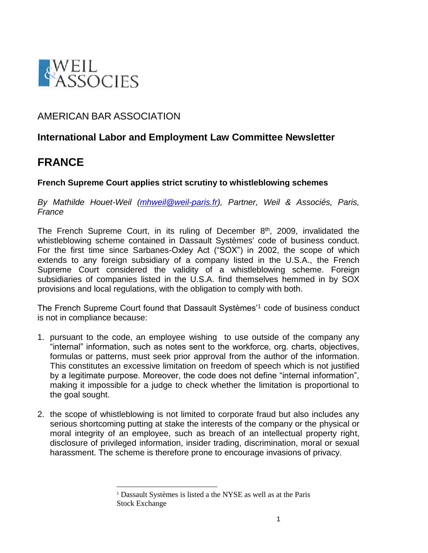

## AMERICAN BAR ASSOCIATION

l

## **International Labor and Employment Law Committee Newsletter**

## **FRANCE**

## **French Supreme Court applies strict scrutiny to whistleblowing schemes**

*By Mathilde Houet-Weil [\(mhweil@weil-paris.fr\)](mailto:mhweil@weil-paris.fr), Partner, Weil & Associés, Paris, France*

The French Supreme Court, in its ruling of December  $8<sup>th</sup>$ , 2009, invalidated the whistleblowing scheme contained in Dassault Systèmes' code of business conduct. For the first time since Sarbanes-Oxley Act ("SOX") in 2002, the scope of which extends to any foreign subsidiary of a company listed in the U.S.A., the French Supreme Court considered the validity of a whistleblowing scheme. Foreign subsidiaries of companies listed in the U.S.A. find themselves hemmed in by SOX provisions and local regulations, with the obligation to comply with both.

The French Supreme Court found that Dassault Systèmes'<sup>1</sup> code of business conduct is not in compliance because:

- 1. pursuant to the code, an employee wishing to use outside of the company any "internal" information, such as notes sent to the workforce, org. charts, objectives, formulas or patterns, must seek prior approval from the author of the information. This constitutes an excessive limitation on freedom of speech which is not justified by a legitimate purpose. Moreover, the code does not define "internal information", making it impossible for a judge to check whether the limitation is proportional to the goal sought.
- 2. the scope of whistleblowing is not limited to corporate fraud but also includes any serious shortcoming putting at stake the interests of the company or the physical or moral integrity of an employee, such as breach of an intellectual property right, disclosure of privileged information, insider trading, discrimination, moral or sexual harassment. The scheme is therefore prone to encourage invasions of privacy.

<sup>1</sup> Dassault Systèmes is listed a the NYSE as well as at the Paris Stock Exchange